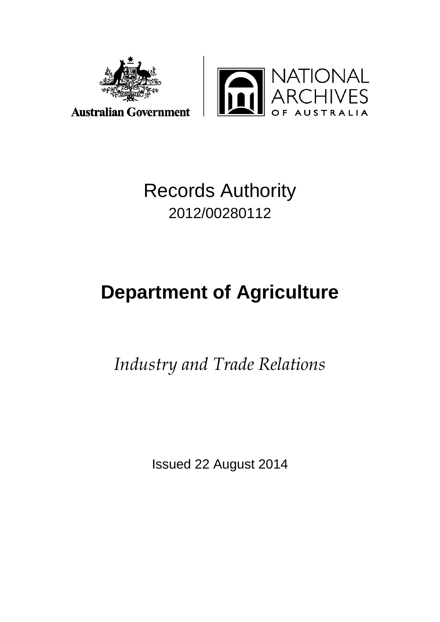



## Records Authority 2012/00280112

# **Department of Agriculture**

*Industry and Trade Relations*

Issued 22 August 2014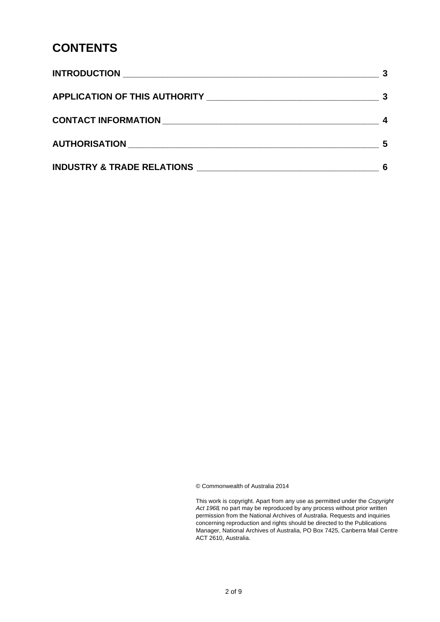### **CONTENTS**

| AUTHORISATION AUTHORISATION           | 5 |
|---------------------------------------|---|
| <b>INDUSTRY &amp; TRADE RELATIONS</b> |   |

© Commonwealth of Australia 2014

This work is copyright. Apart from any use as permitted under the *Copyright Act 1968,* no part may be reproduced by any process without prior written permission from the National Archives of Australia. Requests and inquiries concerning reproduction and rights should be directed to the Publications Manager, National Archives of Australia, PO Box 7425, Canberra Mail Centre ACT 2610, Australia.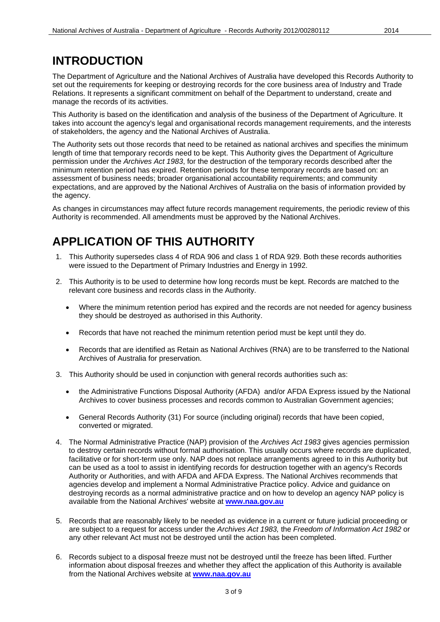### **INTRODUCTION**

The Department of Agriculture and the National Archives of Australia have developed this Records Authority to set out the requirements for keeping or destroying records for the core business area of Industry and Trade Relations. It represents a significant commitment on behalf of the Department to understand, create and manage the records of its activities.

This Authority is based on the identification and analysis of the business of the Department of Agriculture. It takes into account the agency's legal and organisational records management requirements, and the interests of stakeholders, the agency and the National Archives of Australia.

The Authority sets out those records that need to be retained as national archives and specifies the minimum length of time that temporary records need to be kept. This Authority gives the Department of Agriculture permission under the *Archives Act 1983*, for the destruction of the temporary records described after the minimum retention period has expired. Retention periods for these temporary records are based on: an assessment of business needs; broader organisational accountability requirements; and community expectations, and are approved by the National Archives of Australia on the basis of information provided by the agency.

As changes in circumstances may affect future records management requirements, the periodic review of this Authority is recommended. All amendments must be approved by the National Archives.

### **APPLICATION OF THIS AUTHORITY**

- 1. This Authority supersedes class 4 of RDA 906 and class 1 of RDA 929. Both these records authorities were issued to the Department of Primary Industries and Energy in 1992.
- 2. This Authority is to be used to determine how long records must be kept. Records are matched to the relevant core business and records class in the Authority.
	- Where the minimum retention period has expired and the records are not needed for agency business they should be destroyed as authorised in this Authority.
	- Records that have not reached the minimum retention period must be kept until they do.
	- Records that are identified as Retain as National Archives (RNA) are to be transferred to the National Archives of Australia for preservation.
- 3. This Authority should be used in conjunction with general records authorities such as:
	- the Administrative Functions Disposal Authority (AFDA) and/or AFDA Express issued by the National Archives to cover business processes and records common to Australian Government agencies;
	- General Records Authority (31) For source (including original) records that have been copied, converted or migrated.
- 4. The Normal Administrative Practice (NAP) provision of the *Archives Act 1983* gives agencies permission to destroy certain records without formal authorisation. This usually occurs where records are duplicated, facilitative or for short-term use only. NAP does not replace arrangements agreed to in this Authority but can be used as a tool to assist in identifying records for destruction together with an agency's Records Authority or Authorities, and with AFDA and AFDA Express. The National Archives recommends that agencies develop and implement a Normal Administrative Practice policy. Advice and guidance on destroying records as a normal administrative practice and on how to develop an agency NAP policy is available from the National Archives' website at **[www.naa.gov.au](http://www.naa.gov.au/)**
- 5. Records that are reasonably likely to be needed as evidence in a current or future judicial proceeding or are subject to a request for access under the *Archives Act 1983,* the *Freedom of Information Act 1982* or any other relevant Act must not be destroyed until the action has been completed.
- 6. Records subject to a disposal freeze must not be destroyed until the freeze has been lifted. Further information about disposal freezes and whether they affect the application of this Authority is available from the National Archives website at **[www.naa.gov.au](http://www.naa.gov.au/)**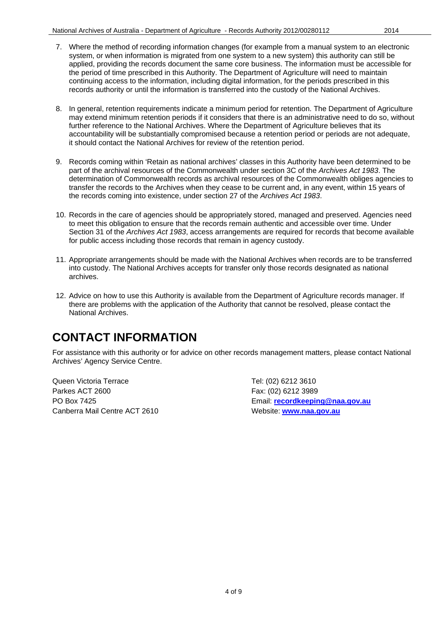- 7. Where the method of recording information changes (for example from a manual system to an electronic system, or when information is migrated from one system to a new system) this authority can still be applied, providing the records document the same core business. The information must be accessible for the period of time prescribed in this Authority. The Department of Agriculture will need to maintain continuing access to the information, including digital information, for the periods prescribed in this records authority or until the information is transferred into the custody of the National Archives.
- 8. In general, retention requirements indicate a minimum period for retention. The Department of Agriculture may extend minimum retention periods if it considers that there is an administrative need to do so, without further reference to the National Archives. Where the Department of Agriculture believes that its accountability will be substantially compromised because a retention period or periods are not adequate, it should contact the National Archives for review of the retention period.
- 9. Records coming within 'Retain as national archives' classes in this Authority have been determined to be part of the archival resources of the Commonwealth under section 3C of the *Archives Act 1983*. The determination of Commonwealth records as archival resources of the Commonwealth obliges agencies to transfer the records to the Archives when they cease to be current and, in any event, within 15 years of the records coming into existence, under section 27 of the *Archives Act 1983*.
- 10. Records in the care of agencies should be appropriately stored, managed and preserved. Agencies need to meet this obligation to ensure that the records remain authentic and accessible over time. Under Section 31 of the *Archives Act 1983*, access arrangements are required for records that become available for public access including those records that remain in agency custody.
- 11. Appropriate arrangements should be made with the National Archives when records are to be transferred into custody. The National Archives accepts for transfer only those records designated as national archives.
- 12. Advice on how to use this Authority is available from the Department of Agriculture records manager. If there are problems with the application of the Authority that cannot be resolved, please contact the National Archives.

### **CONTACT INFORMATION**

For assistance with this authority or for advice on other records management matters, please contact National Archives' Agency Service Centre.

Queen Victoria Terrace Tel: (02) 6212 3610 Parkes ACT 2600 Fax: (02) 6212 3989 Canberra Mail Centre ACT 2610 Website: **[www.naa.gov.au](http://www.naa.gov.au/)**

PO Box 7425 Email: **[recordkeeping@naa.gov.au](mailto:recordkeeping@naa.gov.au)**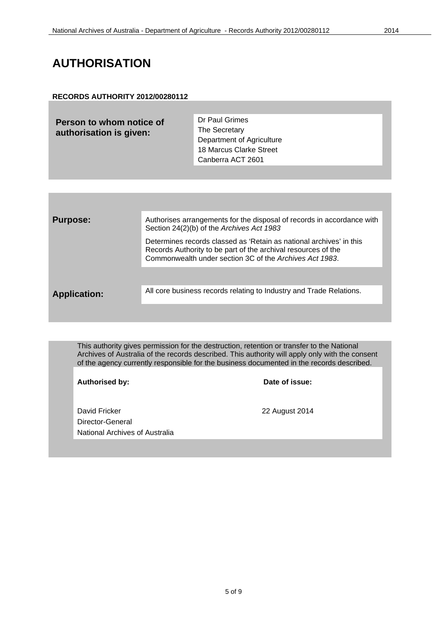### **AUTHORISATION**

#### **RECORDS AUTHORITY 2012/00280112**

**Person to whom notice of authorisation is given:**

Dr Paul Grimes The Secretary Department of Agriculture 18 Marcus Clarke Street Canberra ACT 2601

| <b>Purpose:</b>     | Authorises arrangements for the disposal of records in accordance with<br>Section 24(2)(b) of the Archives Act 1983                                                                             |
|---------------------|-------------------------------------------------------------------------------------------------------------------------------------------------------------------------------------------------|
|                     | Determines records classed as 'Retain as national archives' in this<br>Records Authority to be part of the archival resources of the<br>Commonwealth under section 3C of the Archives Act 1983. |
|                     |                                                                                                                                                                                                 |
| <b>Application:</b> | All core business records relating to Industry and Trade Relations.                                                                                                                             |
|                     |                                                                                                                                                                                                 |

This authority gives permission for the destruction, retention or transfer to the National Archives of Australia of the records described. This authority will apply only with the consent of the agency currently responsible for the business documented in the records described.

**Authorised by: Date of issue:**

David Fricker 22 August 2014 Director-General National Archives of Australia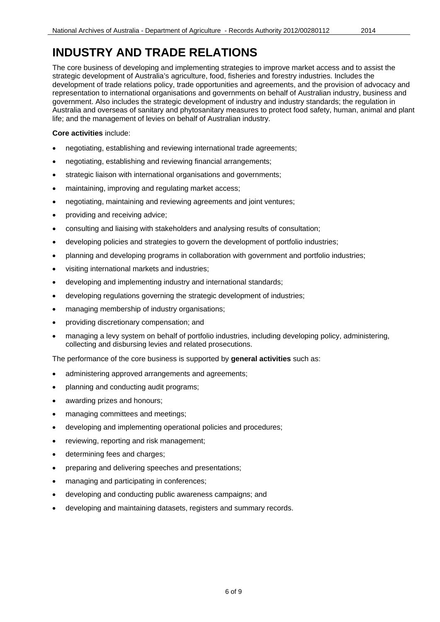The core business of developing and implementing strategies to improve market access and to assist the strategic development of Australia's agriculture, food, fisheries and forestry industries. Includes the development of trade relations policy, trade opportunities and agreements, and the provision of advocacy and representation to international organisations and governments on behalf of Australian industry, business and government. Also includes the strategic development of industry and industry standards; the regulation in Australia and overseas of sanitary and phytosanitary measures to protect food safety, human, animal and plant life; and the management of levies on behalf of Australian industry.

#### **Core activities** include:

- negotiating, establishing and reviewing international trade agreements;
- negotiating, establishing and reviewing financial arrangements;
- strategic liaison with international organisations and governments;
- maintaining, improving and regulating market access;
- negotiating, maintaining and reviewing agreements and joint ventures;
- providing and receiving advice;
- consulting and liaising with stakeholders and analysing results of consultation;
- developing policies and strategies to govern the development of portfolio industries;
- planning and developing programs in collaboration with government and portfolio industries;
- visiting international markets and industries;
- developing and implementing industry and international standards;
- developing regulations governing the strategic development of industries;
- managing membership of industry organisations;
- providing discretionary compensation; and
- managing a levy system on behalf of portfolio industries, including developing policy, administering, collecting and disbursing levies and related prosecutions.

The performance of the core business is supported by **general activities** such as:

- administering approved arrangements and agreements;
- planning and conducting audit programs;
- awarding prizes and honours;
- managing committees and meetings;
- developing and implementing operational policies and procedures;
- reviewing, reporting and risk management;
- determining fees and charges;
- preparing and delivering speeches and presentations;
- managing and participating in conferences;
- developing and conducting public awareness campaigns; and
- developing and maintaining datasets, registers and summary records.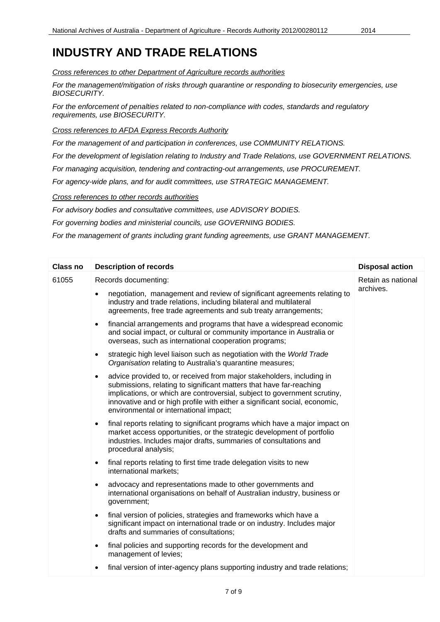*Cross references to other Department of Agriculture records authorities*

*For the management/mitigation of risks through quarantine or responding to biosecurity emergencies, use BIOSECURITY.*

*For the enforcement of penalties related to non-compliance with codes, standards and regulatory requirements, use BIOSECURITY.*

*Cross references to AFDA Express Records Authority*

*For the management of and participation in conferences, use COMMUNITY RELATIONS.*

*For the development of legislation relating to Industry and Trade Relations, use GOVERNMENT RELATIONS.*

*For managing acquisition, tendering and contracting-out arrangements, use PROCUREMENT.*

*For agency-wide plans, and for audit committees, use STRATEGIC MANAGEMENT.*

*Cross references to other records authorities*

*For advisory bodies and consultative committees, use ADVISORY BODIES.*

*For governing bodies and ministerial councils, use GOVERNING BODIES.*

*For the management of grants including grant funding agreements, use GRANT MANAGEMENT.*

| <b>Class no</b> | <b>Description of records</b>                                                                                                                                                                                                                                                                                                                                  | <b>Disposal action</b> |
|-----------------|----------------------------------------------------------------------------------------------------------------------------------------------------------------------------------------------------------------------------------------------------------------------------------------------------------------------------------------------------------------|------------------------|
| 61055           | Records documenting:                                                                                                                                                                                                                                                                                                                                           | Retain as national     |
|                 | negotiation, management and review of significant agreements relating to<br>$\bullet$<br>industry and trade relations, including bilateral and multilateral<br>agreements, free trade agreements and sub treaty arrangements;                                                                                                                                  | archives.              |
|                 | financial arrangements and programs that have a widespread economic<br>$\bullet$<br>and social impact, or cultural or community importance in Australia or<br>overseas, such as international cooperation programs;                                                                                                                                            |                        |
|                 | strategic high level liaison such as negotiation with the World Trade<br>$\bullet$<br>Organisation relating to Australia's quarantine measures;                                                                                                                                                                                                                |                        |
|                 | advice provided to, or received from major stakeholders, including in<br>$\bullet$<br>submissions, relating to significant matters that have far-reaching<br>implications, or which are controversial, subject to government scrutiny,<br>innovative and or high profile with either a significant social, economic,<br>environmental or international impact; |                        |
|                 | final reports relating to significant programs which have a major impact on<br>$\bullet$<br>market access opportunities, or the strategic development of portfolio<br>industries. Includes major drafts, summaries of consultations and<br>procedural analysis;                                                                                                |                        |
|                 | final reports relating to first time trade delegation visits to new<br>$\bullet$<br>international markets;                                                                                                                                                                                                                                                     |                        |
|                 | advocacy and representations made to other governments and<br>$\bullet$<br>international organisations on behalf of Australian industry, business or<br>government;                                                                                                                                                                                            |                        |
|                 | final version of policies, strategies and frameworks which have a<br>$\bullet$<br>significant impact on international trade or on industry. Includes major<br>drafts and summaries of consultations;                                                                                                                                                           |                        |
|                 | final policies and supporting records for the development and<br>$\bullet$<br>management of levies;                                                                                                                                                                                                                                                            |                        |
|                 | final version of inter-agency plans supporting industry and trade relations;<br>$\bullet$                                                                                                                                                                                                                                                                      |                        |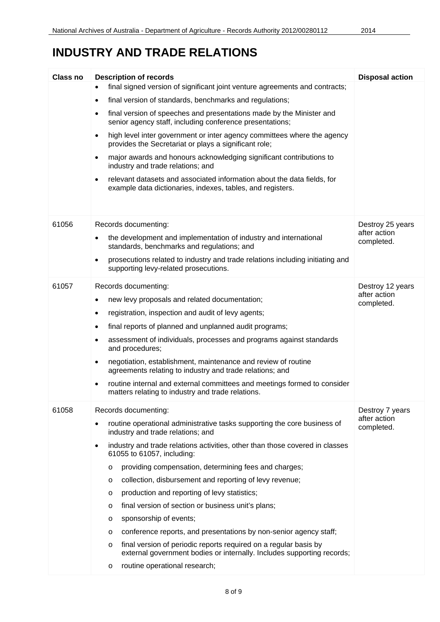| Class no | <b>Description of records</b>                                                                                                                         | <b>Disposal action</b>                        |  |  |
|----------|-------------------------------------------------------------------------------------------------------------------------------------------------------|-----------------------------------------------|--|--|
|          | final signed version of significant joint venture agreements and contracts;                                                                           |                                               |  |  |
|          | final version of standards, benchmarks and regulations;<br>$\bullet$                                                                                  |                                               |  |  |
|          | final version of speeches and presentations made by the Minister and<br>$\bullet$<br>senior agency staff, including conference presentations;         |                                               |  |  |
|          | high level inter government or inter agency committees where the agency<br>$\bullet$<br>provides the Secretariat or plays a significant role;         |                                               |  |  |
|          | major awards and honours acknowledging significant contributions to<br>$\bullet$<br>industry and trade relations; and                                 |                                               |  |  |
|          | relevant datasets and associated information about the data fields, for<br>$\bullet$<br>example data dictionaries, indexes, tables, and registers.    |                                               |  |  |
| 61056    | Records documenting:                                                                                                                                  | Destroy 25 years                              |  |  |
|          | the development and implementation of industry and international<br>$\bullet$<br>standards, benchmarks and regulations; and                           | after action<br>completed.                    |  |  |
|          | prosecutions related to industry and trade relations including initiating and<br>$\bullet$<br>supporting levy-related prosecutions.                   |                                               |  |  |
| 61057    | Records documenting:                                                                                                                                  | Destroy 12 years<br>after action              |  |  |
|          | new levy proposals and related documentation;<br>٠                                                                                                    |                                               |  |  |
|          | registration, inspection and audit of levy agents;<br>$\bullet$                                                                                       | completed.                                    |  |  |
|          | final reports of planned and unplanned audit programs;<br>$\bullet$                                                                                   |                                               |  |  |
|          | assessment of individuals, processes and programs against standards<br>$\bullet$<br>and procedures;                                                   |                                               |  |  |
|          | negotiation, establishment, maintenance and review of routine<br>$\bullet$<br>agreements relating to industry and trade relations; and                |                                               |  |  |
|          | routine internal and external committees and meetings formed to consider<br>$\bullet$<br>matters relating to industry and trade relations.            |                                               |  |  |
| 61058    | Records documenting:                                                                                                                                  | Destroy 7 years<br>after action<br>completed. |  |  |
|          | routine operational administrative tasks supporting the core business of<br>$\bullet$<br>industry and trade relations; and                            |                                               |  |  |
|          | industry and trade relations activities, other than those covered in classes<br>$\bullet$<br>61055 to 61057, including:                               |                                               |  |  |
|          | providing compensation, determining fees and charges;<br>$\circ$                                                                                      |                                               |  |  |
|          | collection, disbursement and reporting of levy revenue;<br>$\circ$                                                                                    |                                               |  |  |
|          | production and reporting of levy statistics;<br>O                                                                                                     |                                               |  |  |
|          | final version of section or business unit's plans;<br>$\circ$                                                                                         |                                               |  |  |
|          | sponsorship of events;<br>O                                                                                                                           |                                               |  |  |
|          | conference reports, and presentations by non-senior agency staff;<br>O                                                                                |                                               |  |  |
|          | final version of periodic reports required on a regular basis by<br>$\circ$<br>external government bodies or internally. Includes supporting records; |                                               |  |  |
|          | routine operational research;<br>$\circ$                                                                                                              |                                               |  |  |